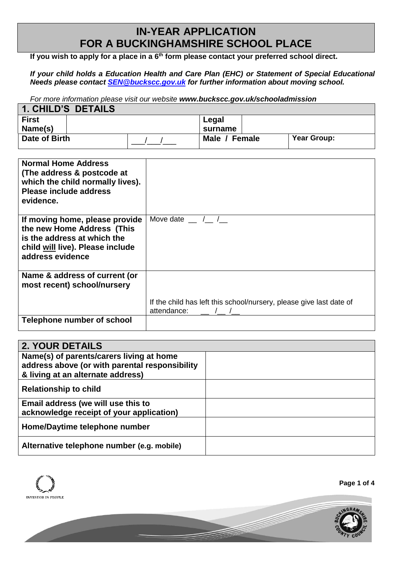## **IN-YEAR APPLICATION FOR A BUCKINGHAMSHIRE SCHOOL PLACE**

**If you wish to apply for a place in a 6 th form please contact your preferred school direct.**

*If your child holds a Education Health and Care Plan (EHC) or Statement of Special Educational Needs please contact [SEN@buckscc.gov.uk](mailto:SEN@buckscc.gov.uk) for further information about moving school.*

*For more information please visit our website [www.buckscc.gov.uk/schooladmission](http://www.buckscc.gov.uk/schooladmissions)*

| 1. CHILD'S DETAILS |               |                    |
|--------------------|---------------|--------------------|
| <b>First</b>       | Legal         |                    |
| Name(s)            | surname       |                    |
| Date of Birth      | Male / Female | <b>Year Group:</b> |

| <b>Normal Home Address</b><br>(The address & postcode at<br>which the child normally lives).<br><b>Please include address</b><br>evidence.          |                                                                                    |
|-----------------------------------------------------------------------------------------------------------------------------------------------------|------------------------------------------------------------------------------------|
| If moving home, please provide<br>the new Home Address (This<br>is the address at which the<br>child will live). Please include<br>address evidence | Move date / /                                                                      |
| Name & address of current (or<br>most recent) school/nursery                                                                                        |                                                                                    |
|                                                                                                                                                     | If the child has left this school/nursery, please give last date of<br>attendance: |
| <b>Telephone number of school</b>                                                                                                                   |                                                                                    |

| <b>2. YOUR DETAILS</b>                                                                                                          |  |
|---------------------------------------------------------------------------------------------------------------------------------|--|
| Name(s) of parents/carers living at home<br>address above (or with parental responsibility<br>& living at an alternate address) |  |
| <b>Relationship to child</b>                                                                                                    |  |
| Email address (we will use this to<br>acknowledge receipt of your application)                                                  |  |
| Home/Daytime telephone number                                                                                                   |  |
| Alternative telephone number (e.g. mobile)                                                                                      |  |

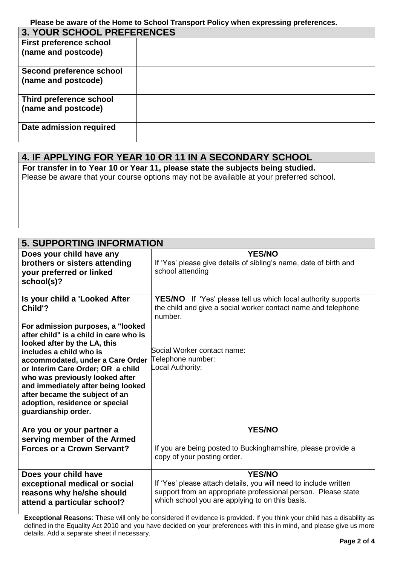**Please be aware of the Home to School Transport Policy when expressing preferences.**

| <b>3. YOUR SCHOOL PREFERENCES</b> |  |  |
|-----------------------------------|--|--|
| <b>First preference school</b>    |  |  |
| (name and postcode)               |  |  |
| Second preference school          |  |  |
| (name and postcode)               |  |  |
| Third preference school           |  |  |
| (name and postcode)               |  |  |
| Date admission required           |  |  |

## **4. IF APPLYING FOR YEAR 10 OR 11 IN A SECONDARY SCHOOL**

For **For transfer in to Year 10 or Year 11, please state the subjects being studied.**

Please be aware that your course options may not be available at your preferred school.

| <b>5. SUPPORTING INFORMATION</b>                                                                                                                                                                                                                                                                                                                                                                                                |                                                                                                                                                                                                                          |
|---------------------------------------------------------------------------------------------------------------------------------------------------------------------------------------------------------------------------------------------------------------------------------------------------------------------------------------------------------------------------------------------------------------------------------|--------------------------------------------------------------------------------------------------------------------------------------------------------------------------------------------------------------------------|
| Does your child have any<br>brothers or sisters attending<br>your preferred or linked<br>school(s)?                                                                                                                                                                                                                                                                                                                             | <b>YES/NO</b><br>If 'Yes' please give details of sibling's name, date of birth and<br>school attending                                                                                                                   |
| Is your child a 'Looked After<br>Child'?<br>For admission purposes, a "looked<br>after child" is a child in care who is<br>looked after by the LA, this<br>includes a child who is<br>accommodated, under a Care Order<br>or Interim Care Order; OR a child<br>who was previously looked after<br>and immediately after being looked<br>after became the subject of an<br>adoption, residence or special<br>guardianship order. | <b>YES/NO</b> If 'Yes' please tell us which local authority supports<br>the child and give a social worker contact name and telephone<br>number.<br>Social Worker contact name:<br>Telephone number:<br>Local Authority: |
| Are you or your partner a<br>serving member of the Armed<br><b>Forces or a Crown Servant?</b>                                                                                                                                                                                                                                                                                                                                   | <b>YES/NO</b><br>If you are being posted to Buckinghamshire, please provide a<br>copy of your posting order.                                                                                                             |
| Does your child have<br>exceptional medical or social<br>reasons why he/she should<br>attend a particular school?                                                                                                                                                                                                                                                                                                               | <b>YES/NO</b><br>If 'Yes' please attach details, you will need to include written<br>support from an appropriate professional person. Please state<br>which school you are applying to on this basis.                    |

**Exceptional Reasons**: These will only be considered if evidence is provided. If you think your child has a disability as defined in the Equality Act 2010 and you have decided on your preferences with this in mind, and please give us more details. Add a separate sheet if necessary.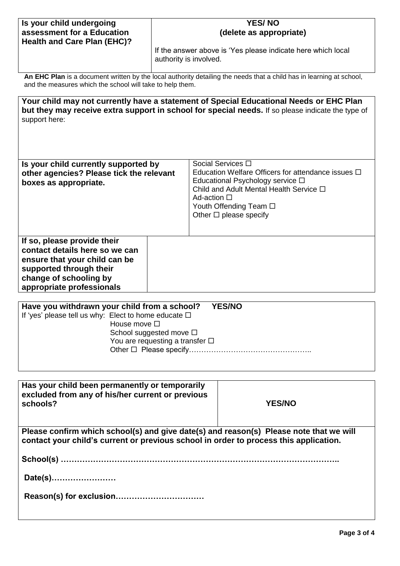| Is your child undergoing<br>assessment for a Education                                                                                                                                                                | <b>YES/NO</b><br>(delete as appropriate)                                               |             |                                                                                                                                                                                                                           |
|-----------------------------------------------------------------------------------------------------------------------------------------------------------------------------------------------------------------------|----------------------------------------------------------------------------------------|-------------|---------------------------------------------------------------------------------------------------------------------------------------------------------------------------------------------------------------------------|
| <b>Health and Care Plan (EHC)?</b>                                                                                                                                                                                    | If the answer above is 'Yes please indicate here which local<br>authority is involved. |             |                                                                                                                                                                                                                           |
| An EHC Plan is a document written by the local authority detailing the needs that a child has in learning at school,<br>and the measures which the school will take to help them.                                     |                                                                                        |             |                                                                                                                                                                                                                           |
| support here:                                                                                                                                                                                                         |                                                                                        |             | Your child may not currently have a statement of Special Educational Needs or EHC Plan<br>but they may receive extra support in school for special needs. If so please indicate the type of                               |
| Is your child currently supported by<br>other agencies? Please tick the relevant<br>boxes as appropriate.                                                                                                             |                                                                                        | Ad-action □ | Social Services □<br>Education Welfare Officers for attendance issues $\Box$<br>Educational Psychology service □<br>Child and Adult Mental Health Service $\Box$<br>Youth Offending Team □<br>Other $\Box$ please specify |
| If so, please provide their<br>contact details here so we can<br>ensure that your child can be<br>supported through their<br>change of schooling by<br>appropriate professionals                                      |                                                                                        |             |                                                                                                                                                                                                                           |
| Have you withdrawn your child from a school?<br><b>YES/NO</b><br>If 'yes' please tell us why: Elect to home educate $\Box$<br>House move $\square$<br>School suggested move □<br>You are requesting a transfer $\Box$ |                                                                                        |             |                                                                                                                                                                                                                           |
| Has your child been permanently or temporarily<br>excluded from any of his/her current or previous<br>schools?                                                                                                        |                                                                                        |             | <b>YES/NO</b>                                                                                                                                                                                                             |
| Please confirm which school(s) and give date(s) and reason(s) Please note that we will<br>contact your child's current or previous school in order to process this application.                                       |                                                                                        |             |                                                                                                                                                                                                                           |
|                                                                                                                                                                                                                       |                                                                                        |             |                                                                                                                                                                                                                           |
| Date(s)                                                                                                                                                                                                               |                                                                                        |             |                                                                                                                                                                                                                           |
|                                                                                                                                                                                                                       |                                                                                        |             |                                                                                                                                                                                                                           |